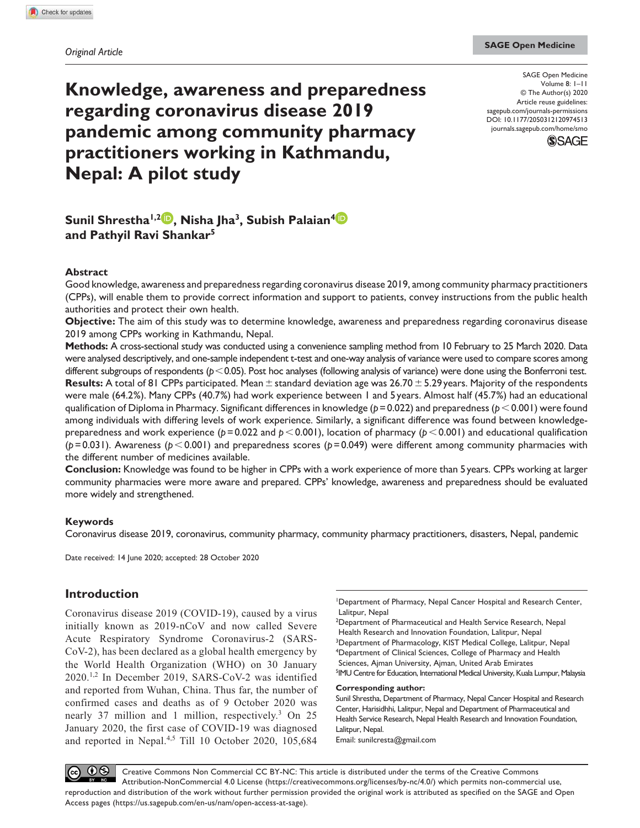# **Knowledge, awareness and preparedness regarding coronavirus disease 2019 pandemic among community pharmacy practitioners working in Kathmandu, Nepal: A pilot study**

DOI: 10.1177/2050312120974513 SAGE Open Medicine Volume 8: I-II © The Author(s) 2020 Article reuse guidelines: sagepub.com/journals-permissions journals.sagepub.com/home/smo



**Sunil Shrestha1,2 , Nisha Jha<sup>3</sup> , Subish Palaian<sup>4</sup> and Pathyil Ravi Shankar<sup>5</sup>**

### **Abstract**

Good knowledge, awareness and preparedness regarding coronavirus disease 2019, among community pharmacy practitioners (CPPs), will enable them to provide correct information and support to patients, convey instructions from the public health authorities and protect their own health.

**Objective:** The aim of this study was to determine knowledge, awareness and preparedness regarding coronavirus disease 2019 among CPPs working in Kathmandu, Nepal.

**Methods:** A cross-sectional study was conducted using a convenience sampling method from 10 February to 25 March 2020. Data were analysed descriptively, and one-sample independent t-test and one-way analysis of variance were used to compare scores among different subgroups of respondents ( $p < 0.05$ ). Post hoc analyses (following analysis of variance) were done using the Bonferroni test. **Results:** A total of 81 CPPs participated. Mean ± standard deviation age was 26.70 ± 5.29 years. Majority of the respondents were male (64.2%). Many CPPs (40.7%) had work experience between 1 and 5 years. Almost half (45.7%) had an educational qualification of Diploma in Pharmacy. Significant differences in knowledge (*p* = 0.022) and preparedness (*p* < 0.001) were found among individuals with differing levels of work experience. Similarly, a significant difference was found between knowledgepreparedness and work experience ( $p = 0.022$  and  $p < 0.001$ ), location of pharmacy ( $p < 0.001$ ) and educational qualification (*p* = 0.031). Awareness (*p*< 0.001) and preparedness scores (*p* = 0.049) were different among community pharmacies with the different number of medicines available.

**Conclusion:** Knowledge was found to be higher in CPPs with a work experience of more than 5 years. CPPs working at larger community pharmacies were more aware and prepared. CPPs' knowledge, awareness and preparedness should be evaluated more widely and strengthened.

### **Keywords**

Coronavirus disease 2019, coronavirus, community pharmacy, community pharmacy practitioners, disasters, Nepal, pandemic

Date received: 14 June 2020; accepted: 28 October 2020

# **Introduction**

Coronavirus disease 2019 (COVID-19), caused by a virus initially known as 2019-nCoV and now called Severe Acute Respiratory Syndrome Coronavirus-2 (SARS-CoV-2), has been declared as a global health emergency by the World Health Organization (WHO) on 30 January 2020.1,2 In December 2019, SARS-CoV-2 was identified and reported from Wuhan, China. Thus far, the number of confirmed cases and deaths as of 9 October 2020 was nearly 37 million and 1 million, respectively.<sup>3</sup> On 25 January 2020, the first case of COVID-19 was diagnosed and reported in Nepal.<sup>4,5</sup> Till 10 October 2020, 105,684

1 Department of Pharmacy, Nepal Cancer Hospital and Research Center, Lalitpur, Nepal

<sup>2</sup>Department of Pharmaceutical and Health Service Research, Nepal Health Research and Innovation Foundation, Lalitpur, Nepal <sup>3</sup>Department of Pharmacology, KIST Medical College, Lalitpur, Nepal 4 Department of Clinical Sciences, College of Pharmacy and Health Sciences, Ajman University, Ajman, United Arab Emirates <sup>5</sup>IMU Centre for Education, International Medical University, Kuala Lumpur, Malaysia

**Corresponding author:**

Sunil Shrestha, Department of Pharmacy, Nepal Cancer Hospital and Research Center, Harisidhhi, Lalitpur, Nepal and Department of Pharmaceutical and Health Service Research, Nepal Health Research and Innovation Foundation, Lalitpur, Nepal.

Email: sunilcresta@gmail.com

 $\bullet$ Creative Commons Non Commercial CC BY-NC: This article is distributed under the terms of the Creative Commons  $(c)$ Attribution-NonCommercial 4.0 License (https://creativecommons.org/licenses/by-nc/4.0/) which permits non-commercial use, reproduction and distribution of the work without further permission provided the original work is attributed as specified on the SAGE and Open Access pages (https://us.sagepub.com/en-us/nam/open-access-at-sage).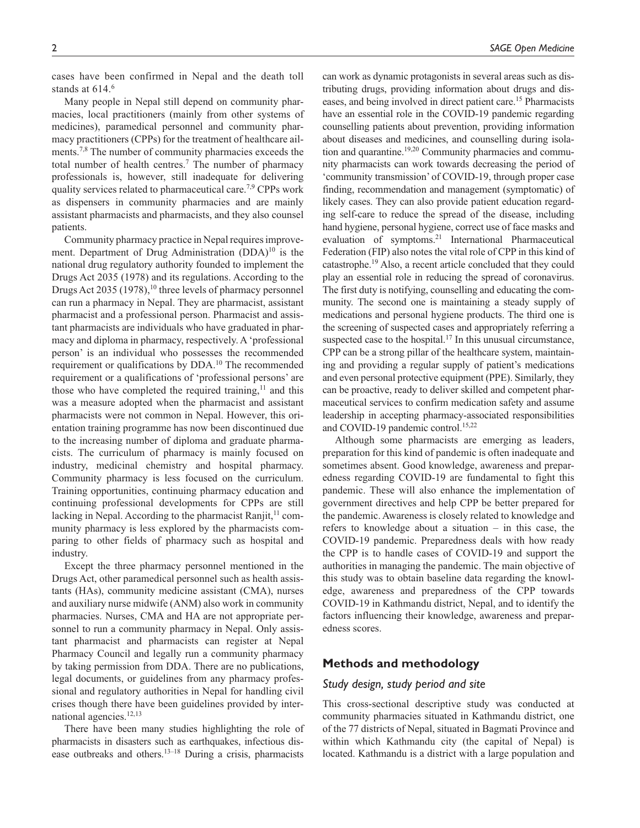cases have been confirmed in Nepal and the death toll stands at 614.<sup>6</sup>

Many people in Nepal still depend on community pharmacies, local practitioners (mainly from other systems of medicines), paramedical personnel and community pharmacy practitioners (CPPs) for the treatment of healthcare ailments.7,8 The number of community pharmacies exceeds the total number of health centres.<sup>7</sup> The number of pharmacy professionals is, however, still inadequate for delivering quality services related to pharmaceutical care.7,9 CPPs work as dispensers in community pharmacies and are mainly assistant pharmacists and pharmacists, and they also counsel patients.

Community pharmacy practice in Nepal requires improvement. Department of Drug Administration (DDA)<sup>10</sup> is the national drug regulatory authority founded to implement the Drugs Act 2035 (1978) and its regulations. According to the Drugs Act 2035 (1978),  $10$  three levels of pharmacy personnel can run a pharmacy in Nepal. They are pharmacist, assistant pharmacist and a professional person. Pharmacist and assistant pharmacists are individuals who have graduated in pharmacy and diploma in pharmacy, respectively. A 'professional person' is an individual who possesses the recommended requirement or qualifications by DDA.<sup>10</sup> The recommended requirement or a qualifications of 'professional persons' are those who have completed the required training, $11$  and this was a measure adopted when the pharmacist and assistant pharmacists were not common in Nepal. However, this orientation training programme has now been discontinued due to the increasing number of diploma and graduate pharmacists. The curriculum of pharmacy is mainly focused on industry, medicinal chemistry and hospital pharmacy. Community pharmacy is less focused on the curriculum. Training opportunities, continuing pharmacy education and continuing professional developments for CPPs are still lacking in Nepal. According to the pharmacist Ranjit, $11$  community pharmacy is less explored by the pharmacists comparing to other fields of pharmacy such as hospital and industry.

Except the three pharmacy personnel mentioned in the Drugs Act, other paramedical personnel such as health assistants (HAs), community medicine assistant (CMA), nurses and auxiliary nurse midwife (ANM) also work in community pharmacies. Nurses, CMA and HA are not appropriate personnel to run a community pharmacy in Nepal. Only assistant pharmacist and pharmacists can register at Nepal Pharmacy Council and legally run a community pharmacy by taking permission from DDA. There are no publications, legal documents, or guidelines from any pharmacy professional and regulatory authorities in Nepal for handling civil crises though there have been guidelines provided by international agencies.12,13

There have been many studies highlighting the role of pharmacists in disasters such as earthquakes, infectious disease outbreaks and others.13–18 During a crisis, pharmacists

can work as dynamic protagonists in several areas such as distributing drugs, providing information about drugs and diseases, and being involved in direct patient care.<sup>15</sup> Pharmacists have an essential role in the COVID-19 pandemic regarding counselling patients about prevention, providing information about diseases and medicines, and counselling during isolation and quarantine.<sup>19,20</sup> Community pharmacies and community pharmacists can work towards decreasing the period of 'community transmission' of COVID-19, through proper case finding, recommendation and management (symptomatic) of likely cases. They can also provide patient education regarding self-care to reduce the spread of the disease, including hand hygiene, personal hygiene, correct use of face masks and evaluation of symptoms.<sup>21</sup> International Pharmaceutical Federation (FIP) also notes the vital role of CPP in this kind of catastrophe.<sup>19</sup> Also, a recent article concluded that they could play an essential role in reducing the spread of coronavirus. The first duty is notifying, counselling and educating the community. The second one is maintaining a steady supply of medications and personal hygiene products. The third one is the screening of suspected cases and appropriately referring a suspected case to the hospital.<sup>17</sup> In this unusual circumstance, CPP can be a strong pillar of the healthcare system, maintaining and providing a regular supply of patient's medications and even personal protective equipment (PPE). Similarly, they can be proactive, ready to deliver skilled and competent pharmaceutical services to confirm medication safety and assume leadership in accepting pharmacy-associated responsibilities and COVID-19 pandemic control.<sup>15,22</sup>

Although some pharmacists are emerging as leaders, preparation for this kind of pandemic is often inadequate and sometimes absent. Good knowledge, awareness and preparedness regarding COVID-19 are fundamental to fight this pandemic. These will also enhance the implementation of government directives and help CPP be better prepared for the pandemic. Awareness is closely related to knowledge and refers to knowledge about a situation – in this case, the COVID-19 pandemic. Preparedness deals with how ready the CPP is to handle cases of COVID-19 and support the authorities in managing the pandemic. The main objective of this study was to obtain baseline data regarding the knowledge, awareness and preparedness of the CPP towards COVID-19 in Kathmandu district, Nepal, and to identify the factors influencing their knowledge, awareness and preparedness scores.

# **Methods and methodology**

### *Study design, study period and site*

This cross-sectional descriptive study was conducted at community pharmacies situated in Kathmandu district, one of the 77 districts of Nepal, situated in Bagmati Province and within which Kathmandu city (the capital of Nepal) is located. Kathmandu is a district with a large population and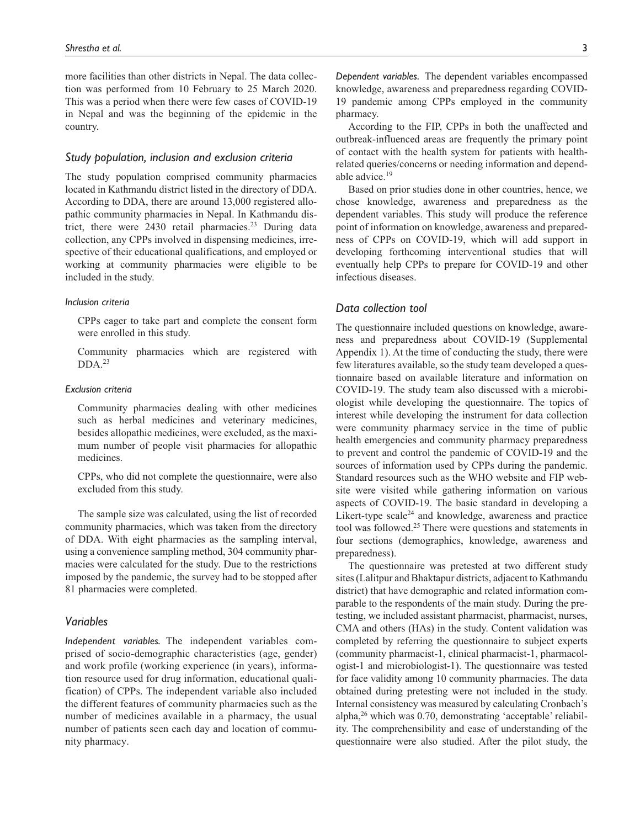more facilities than other districts in Nepal. The data collection was performed from 10 February to 25 March 2020. This was a period when there were few cases of COVID-19 in Nepal and was the beginning of the epidemic in the country.

### *Study population, inclusion and exclusion criteria*

The study population comprised community pharmacies located in Kathmandu district listed in the directory of DDA. According to DDA, there are around 13,000 registered allopathic community pharmacies in Nepal. In Kathmandu district, there were  $2430$  retail pharmacies.<sup>23</sup> During data collection, any CPPs involved in dispensing medicines, irrespective of their educational qualifications, and employed or working at community pharmacies were eligible to be included in the study.

#### *Inclusion criteria*

CPPs eager to take part and complete the consent form were enrolled in this study.

Community pharmacies which are registered with  $DDA.<sup>23</sup>$ 

### *Exclusion criteria*

Community pharmacies dealing with other medicines such as herbal medicines and veterinary medicines, besides allopathic medicines, were excluded, as the maximum number of people visit pharmacies for allopathic medicines.

CPPs, who did not complete the questionnaire, were also excluded from this study.

The sample size was calculated, using the list of recorded community pharmacies, which was taken from the directory of DDA. With eight pharmacies as the sampling interval, using a convenience sampling method, 304 community pharmacies were calculated for the study. Due to the restrictions imposed by the pandemic, the survey had to be stopped after 81 pharmacies were completed.

# *Variables*

*Independent variables.* The independent variables comprised of socio-demographic characteristics (age, gender) and work profile (working experience (in years), information resource used for drug information, educational qualification) of CPPs. The independent variable also included the different features of community pharmacies such as the number of medicines available in a pharmacy, the usual number of patients seen each day and location of community pharmacy.

*Dependent variables.* The dependent variables encompassed knowledge, awareness and preparedness regarding COVID-19 pandemic among CPPs employed in the community pharmacy.

According to the FIP, CPPs in both the unaffected and outbreak-influenced areas are frequently the primary point of contact with the health system for patients with healthrelated queries/concerns or needing information and dependable advice.<sup>19</sup>

Based on prior studies done in other countries, hence, we chose knowledge, awareness and preparedness as the dependent variables. This study will produce the reference point of information on knowledge, awareness and preparedness of CPPs on COVID-19, which will add support in developing forthcoming interventional studies that will eventually help CPPs to prepare for COVID-19 and other infectious diseases.

### *Data collection tool*

The questionnaire included questions on knowledge, awareness and preparedness about COVID-19 (Supplemental Appendix 1). At the time of conducting the study, there were few literatures available, so the study team developed a questionnaire based on available literature and information on COVID-19. The study team also discussed with a microbiologist while developing the questionnaire. The topics of interest while developing the instrument for data collection were community pharmacy service in the time of public health emergencies and community pharmacy preparedness to prevent and control the pandemic of COVID-19 and the sources of information used by CPPs during the pandemic. Standard resources such as the WHO website and FIP website were visited while gathering information on various aspects of COVID-19. The basic standard in developing a Likert-type scale<sup>24</sup> and knowledge, awareness and practice tool was followed.<sup>25</sup> There were questions and statements in four sections (demographics, knowledge, awareness and preparedness).

The questionnaire was pretested at two different study sites (Lalitpur and Bhaktapur districts, adjacent to Kathmandu district) that have demographic and related information comparable to the respondents of the main study. During the pretesting, we included assistant pharmacist, pharmacist, nurses, CMA and others (HAs) in the study. Content validation was completed by referring the questionnaire to subject experts (community pharmacist-1, clinical pharmacist-1, pharmacologist-1 and microbiologist-1). The questionnaire was tested for face validity among 10 community pharmacies. The data obtained during pretesting were not included in the study. Internal consistency was measured by calculating Cronbach's alpha, $26$  which was 0.70, demonstrating 'acceptable' reliability. The comprehensibility and ease of understanding of the questionnaire were also studied. After the pilot study, the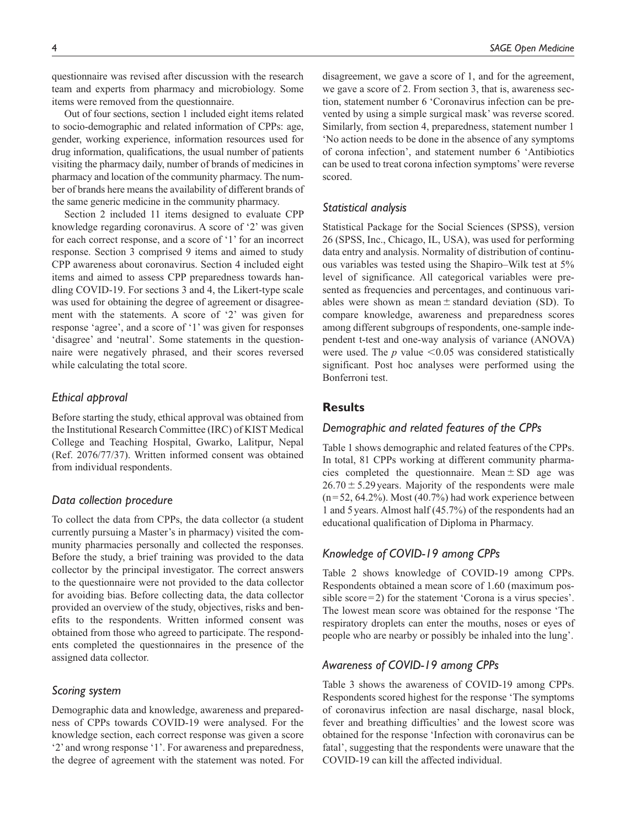questionnaire was revised after discussion with the research team and experts from pharmacy and microbiology. Some items were removed from the questionnaire.

Out of four sections, section 1 included eight items related to socio-demographic and related information of CPPs: age, gender, working experience, information resources used for drug information, qualifications, the usual number of patients visiting the pharmacy daily, number of brands of medicines in pharmacy and location of the community pharmacy. The number of brands here means the availability of different brands of the same generic medicine in the community pharmacy.

Section 2 included 11 items designed to evaluate CPP knowledge regarding coronavirus. A score of '2' was given for each correct response, and a score of '1' for an incorrect response. Section 3 comprised 9 items and aimed to study CPP awareness about coronavirus. Section 4 included eight items and aimed to assess CPP preparedness towards handling COVID-19. For sections 3 and 4, the Likert-type scale was used for obtaining the degree of agreement or disagreement with the statements. A score of '2' was given for response 'agree', and a score of '1' was given for responses 'disagree' and 'neutral'. Some statements in the questionnaire were negatively phrased, and their scores reversed while calculating the total score.

### *Ethical approval*

Before starting the study, ethical approval was obtained from the Institutional Research Committee (IRC) of KIST Medical College and Teaching Hospital, Gwarko, Lalitpur, Nepal (Ref. 2076/77/37). Written informed consent was obtained from individual respondents.

### *Data collection procedure*

To collect the data from CPPs, the data collector (a student currently pursuing a Master's in pharmacy) visited the community pharmacies personally and collected the responses. Before the study, a brief training was provided to the data collector by the principal investigator. The correct answers to the questionnaire were not provided to the data collector for avoiding bias. Before collecting data, the data collector provided an overview of the study, objectives, risks and benefits to the respondents. Written informed consent was obtained from those who agreed to participate. The respondents completed the questionnaires in the presence of the assigned data collector.

### *Scoring system*

Demographic data and knowledge, awareness and preparedness of CPPs towards COVID-19 were analysed. For the knowledge section, each correct response was given a score '2' and wrong response '1'. For awareness and preparedness, the degree of agreement with the statement was noted. For disagreement, we gave a score of 1, and for the agreement, we gave a score of 2. From section 3, that is, awareness section, statement number 6 'Coronavirus infection can be prevented by using a simple surgical mask' was reverse scored. Similarly, from section 4, preparedness, statement number 1 'No action needs to be done in the absence of any symptoms of corona infection', and statement number 6 'Antibiotics can be used to treat corona infection symptoms' were reverse scored.

### *Statistical analysis*

Statistical Package for the Social Sciences (SPSS), version 26 (SPSS, Inc., Chicago, IL, USA), was used for performing data entry and analysis. Normality of distribution of continuous variables was tested using the Shapiro–Wilk test at 5% level of significance. All categorical variables were presented as frequencies and percentages, and continuous variables were shown as mean  $\pm$  standard deviation (SD). To compare knowledge, awareness and preparedness scores among different subgroups of respondents, one-sample independent t-test and one-way analysis of variance (ANOVA) were used. The  $p$  value  $\leq 0.05$  was considered statistically significant. Post hoc analyses were performed using the Bonferroni test.

# **Results**

### *Demographic and related features of the CPPs*

Table 1 shows demographic and related features of the CPPs. In total, 81 CPPs working at different community pharmacies completed the questionnaire. Mean  $\pm$  SD age was  $26.70 \pm 5.29$  years. Majority of the respondents were male  $(n=52, 64.2\%)$ . Most  $(40.7\%)$  had work experience between 1 and 5 years. Almost half (45.7%) of the respondents had an educational qualification of Diploma in Pharmacy.

# *Knowledge of COVID-19 among CPPs*

Table 2 shows knowledge of COVID-19 among CPPs. Respondents obtained a mean score of 1.60 (maximum possible score=2) for the statement 'Corona is a virus species'. The lowest mean score was obtained for the response 'The respiratory droplets can enter the mouths, noses or eyes of people who are nearby or possibly be inhaled into the lung'.

### *Awareness of COVID-19 among CPPs*

Table 3 shows the awareness of COVID-19 among CPPs. Respondents scored highest for the response 'The symptoms of coronavirus infection are nasal discharge, nasal block, fever and breathing difficulties' and the lowest score was obtained for the response 'Infection with coronavirus can be fatal', suggesting that the respondents were unaware that the COVID-19 can kill the affected individual.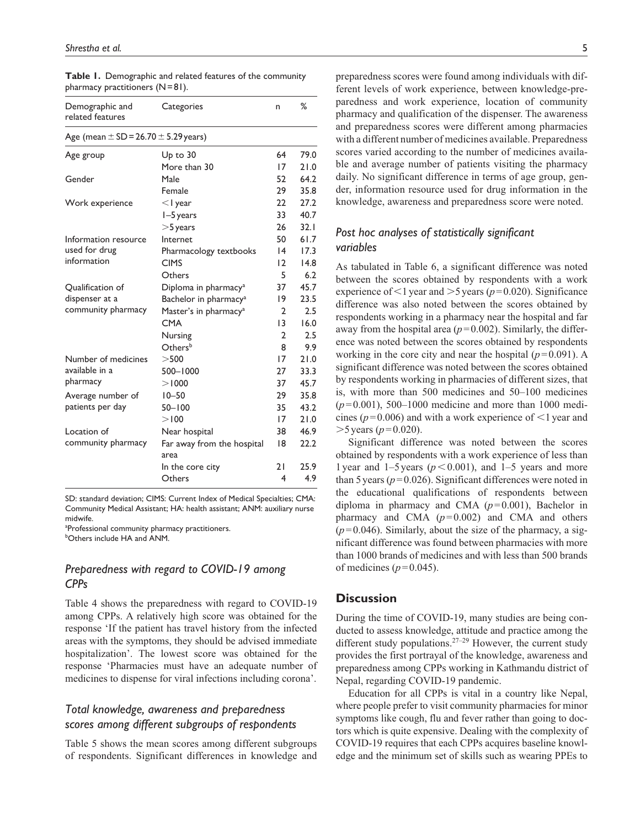| Demographic and<br>related features          | Categories                         | n                       | %    |
|----------------------------------------------|------------------------------------|-------------------------|------|
| Age (mean $\pm$ SD = 26.70 $\pm$ 5.29 years) |                                    |                         |      |
| Age group                                    | $Up$ to $30$                       | 64                      | 79.0 |
|                                              | More than 30                       | 17                      | 21.0 |
| Gender                                       | Male                               | 52                      | 64.2 |
|                                              | Female                             | 29                      | 35.8 |
| Work experience                              | $<$ I year                         | 22                      | 27.2 |
|                                              | $I - 5$ years                      | 33                      | 40.7 |
|                                              | $>$ 5 years                        | 26                      | 32.1 |
| Information resource                         | Internet                           | 50                      | 61.7 |
| used for drug                                | Pharmacology textbooks             | $\overline{14}$         | 17.3 |
| information                                  | <b>CIMS</b>                        | $\overline{2}$          | 14.8 |
|                                              | Others                             | 5                       | 6.2  |
| Qualification of                             | Diploma in pharmacy <sup>a</sup>   | 37                      | 45.7 |
| dispenser at a                               | Bachelor in pharmacy <sup>a</sup>  | 19                      | 23.5 |
| community pharmacy                           | Master's in pharmacy <sup>a</sup>  | $\overline{2}$          | 2.5  |
|                                              | <b>CMA</b>                         | 13                      | 16.0 |
|                                              | Nursing                            | $\overline{2}$          | 2.5  |
|                                              | Othersb                            | 8                       | 9.9  |
| Number of medicines                          | >500                               | 17                      | 21.0 |
| available in a                               | $500 - 1000$                       | 27                      | 33.3 |
| pharmacy                                     | > 1000                             | 37                      | 45.7 |
| Average number of                            | $10 - 50$                          | 29                      | 35.8 |
| patients per day                             | $50 - 100$                         | 35                      | 43.2 |
|                                              | >100                               | 17                      | 21.0 |
| Location of                                  | Near hospital                      | 38                      | 46.9 |
| community pharmacy                           | Far away from the hospital<br>area | 18                      | 22.2 |
|                                              | In the core city                   | 21                      | 25.9 |
|                                              | Others                             | $\overline{\mathbf{4}}$ | 4.9  |

**Table 1.** Demographic and related features of the community pharmacy practitioners (N = 81).

SD: standard deviation; CIMS: Current Index of Medical Specialties; CMA: Community Medical Assistant; HA: health assistant; ANM: auxiliary nurse midwife.

aProfessional community pharmacy practitioners.

**bOthers include HA and ANM.** 

# *Preparedness with regard to COVID-19 among CPPs*

Table 4 shows the preparedness with regard to COVID-19 among CPPs. A relatively high score was obtained for the response 'If the patient has travel history from the infected areas with the symptoms, they should be advised immediate hospitalization'. The lowest score was obtained for the response 'Pharmacies must have an adequate number of medicines to dispense for viral infections including corona'.

# *Total knowledge, awareness and preparedness scores among different subgroups of respondents*

Table 5 shows the mean scores among different subgroups of respondents. Significant differences in knowledge and

preparedness scores were found among individuals with different levels of work experience, between knowledge-preparedness and work experience, location of community pharmacy and qualification of the dispenser. The awareness and preparedness scores were different among pharmacies with a different number of medicines available. Preparedness scores varied according to the number of medicines available and average number of patients visiting the pharmacy daily. No significant difference in terms of age group, gender, information resource used for drug information in the knowledge, awareness and preparedness score were noted.

# *Post hoc analyses of statistically significant variables*

As tabulated in Table 6, a significant difference was noted between the scores obtained by respondents with a work experience of  $\leq$ 1 year and  $>$ 5 years ( $p$ =0.020). Significance difference was also noted between the scores obtained by respondents working in a pharmacy near the hospital and far away from the hospital area  $(p=0.002)$ . Similarly, the difference was noted between the scores obtained by respondents working in the core city and near the hospital  $(p=0.091)$ . A significant difference was noted between the scores obtained by respondents working in pharmacies of different sizes, that is, with more than 500 medicines and 50–100 medicines  $(p=0.001)$ , 500–1000 medicine and more than 1000 medicines ( $p = 0.006$ ) and with a work experience of  $\leq 1$  year and  $>$ 5 years ( $p$  = 0.020).

Significant difference was noted between the scores obtained by respondents with a work experience of less than 1 year and 1–5 years ( $p < 0.001$ ), and 1–5 years and more than 5 years  $(p=0.026)$ . Significant differences were noted in the educational qualifications of respondents between diploma in pharmacy and CMA  $(p=0.001)$ , Bachelor in pharmacy and CMA  $(p=0.002)$  and CMA and others  $(p=0.046)$ . Similarly, about the size of the pharmacy, a significant difference was found between pharmacies with more than 1000 brands of medicines and with less than 500 brands of medicines  $(p=0.045)$ .

# **Discussion**

During the time of COVID-19, many studies are being conducted to assess knowledge, attitude and practice among the different study populations.<sup>27-29</sup> However, the current study provides the first portrayal of the knowledge, awareness and preparedness among CPPs working in Kathmandu district of Nepal, regarding COVID-19 pandemic.

Education for all CPPs is vital in a country like Nepal, where people prefer to visit community pharmacies for minor symptoms like cough, flu and fever rather than going to doctors which is quite expensive. Dealing with the complexity of COVID-19 requires that each CPPs acquires baseline knowledge and the minimum set of skills such as wearing PPEs to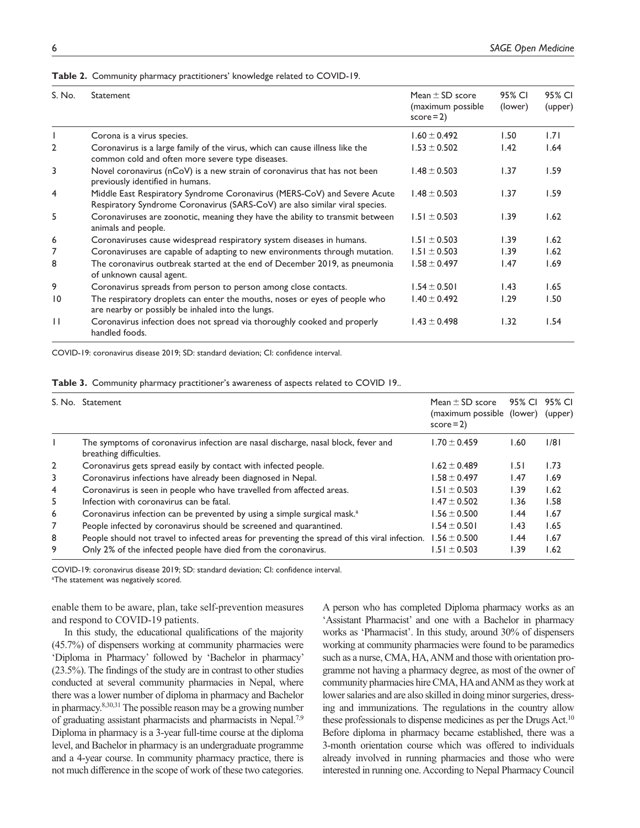#### **Table 2.** Community pharmacy practitioners' knowledge related to COVID-19.

| S. No.          | <b>Statement</b>                                                                                                                                        | Mean $\pm$ SD score<br>(maximum possible<br>$score = 2$ | 95% CI<br>(lower) | 95% CI<br>(upper) |
|-----------------|---------------------------------------------------------------------------------------------------------------------------------------------------------|---------------------------------------------------------|-------------------|-------------------|
|                 | Corona is a virus species.                                                                                                                              | $1.60 \pm 0.492$                                        | 1.50              | 1.71              |
| $\overline{2}$  | Coronavirus is a large family of the virus, which can cause illness like the<br>common cold and often more severe type diseases.                        | $1.53 \pm 0.502$                                        | 1.42              | 1.64              |
| 3               | Novel coronavirus (nCoV) is a new strain of coronavirus that has not been<br>previously identified in humans.                                           | $1.48 \pm 0.503$                                        | 1.37              | 1.59              |
| 4               | Middle East Respiratory Syndrome Coronavirus (MERS-CoV) and Severe Acute<br>Respiratory Syndrome Coronavirus (SARS-CoV) are also similar viral species. | $1.48 \pm 0.503$                                        | 1.37              | 1.59              |
| 5               | Coronaviruses are zoonotic, meaning they have the ability to transmit between<br>animals and people.                                                    | $1.51 \pm 0.503$                                        | 1.39              | 1.62              |
| 6               | Coronaviruses cause widespread respiratory system diseases in humans.                                                                                   | $1.51 \pm 0.503$                                        | 1.39              | 1.62              |
| 7               | Coronaviruses are capable of adapting to new environments through mutation.                                                                             | $1.51 \pm 0.503$                                        | 1.39              | 1.62              |
| 8               | The coronavirus outbreak started at the end of December 2019, as pneumonia<br>of unknown causal agent.                                                  | $1.58 \pm 0.497$                                        | 1.47              | 1.69              |
| 9               | Coronavirus spreads from person to person among close contacts.                                                                                         | $1.54 \pm 0.501$                                        | 1.43              | 1.65              |
| $\overline{10}$ | The respiratory droplets can enter the mouths, noses or eyes of people who<br>are nearby or possibly be inhaled into the lungs.                         | $1.40 \pm 0.492$                                        | 1.29              | 1.50              |
| $\perp$         | Coronavirus infection does not spread via thoroughly cooked and properly<br>handled foods.                                                              | $1.43 \pm 0.498$                                        | 1.32              | 1.54              |

COVID-19: coronavirus disease 2019; SD: standard deviation; CI: confidence interval.

|  |  | Table 3. Community pharmacy practitioner's awareness of aspects related to COVID 19 |  |  |
|--|--|-------------------------------------------------------------------------------------|--|--|
|  |  |                                                                                     |  |  |

|              | S. No. Statement                                                                                             | Mean $\pm$ SD score<br>(maximum possible (lower)<br>$score = 2$ | 95% CI | 95% CI<br>(upper) |
|--------------|--------------------------------------------------------------------------------------------------------------|-----------------------------------------------------------------|--------|-------------------|
|              | The symptoms of coronavirus infection are nasal discharge, nasal block, fever and<br>breathing difficulties. | l.70 $\pm$ 0.459                                                | l.60   | 1/8               |
| $\mathbf{2}$ | Coronavirus gets spread easily by contact with infected people.                                              | $1.62 \pm 0.489$                                                | 1.51   | 1.73              |
| 3            | Coronavirus infections have already been diagnosed in Nepal.                                                 | $1.58 \pm 0.497$                                                | 1.47   | 1.69              |
| 4            | Coronavirus is seen in people who have travelled from affected areas.                                        | $1.51 \pm 0.503$                                                | 1.39   | 1.62              |
| 5            | Infection with coronavirus can be fatal.                                                                     | $1.47 \pm 0.502$                                                | 1.36   | 1.58              |
| 6            | Coronavirus infection can be prevented by using a simple surgical mask. <sup>a</sup>                         | $1.56 \pm 0.500$                                                | 1.44   | 1.67              |
| 7            | People infected by coronavirus should be screened and quarantined.                                           | $1.54 \pm 0.501$                                                | 1.43   | 1.65              |
| 8            | People should not travel to infected areas for preventing the spread of this viral infection.                | $1.56 \pm 0.500$                                                | 1.44   | 1.67              |
| 9            | Only 2% of the infected people have died from the coronavirus.                                               | $.51 \pm 0.503$                                                 | 1.39   | 1.62              |

COVID-19: coronavirus disease 2019; SD: standard deviation; CI: confidence interval. <sup>a</sup>The statement was negatively scored.

enable them to be aware, plan, take self-prevention measures and respond to COVID-19 patients.

In this study, the educational qualifications of the majority (45.7%) of dispensers working at community pharmacies were 'Diploma in Pharmacy' followed by 'Bachelor in pharmacy' (23.5%). The findings of the study are in contrast to other studies conducted at several community pharmacies in Nepal, where there was a lower number of diploma in pharmacy and Bachelor in pharmacy.8,30,31 The possible reason may be a growing number of graduating assistant pharmacists and pharmacists in Nepal.7,9 Diploma in pharmacy is a 3-year full-time course at the diploma level, and Bachelor in pharmacy is an undergraduate programme and a 4-year course. In community pharmacy practice, there is not much difference in the scope of work of these two categories. A person who has completed Diploma pharmacy works as an 'Assistant Pharmacist' and one with a Bachelor in pharmacy works as 'Pharmacist'. In this study, around 30% of dispensers working at community pharmacies were found to be paramedics such as a nurse, CMA, HA, ANM and those with orientation programme not having a pharmacy degree, as most of the owner of community pharmacies hire CMA, HA and ANM as they work at lower salaries and are also skilled in doing minor surgeries, dressing and immunizations. The regulations in the country allow these professionals to dispense medicines as per the Drugs Act.<sup>10</sup> Before diploma in pharmacy became established, there was a 3-month orientation course which was offered to individuals already involved in running pharmacies and those who were interested in running one. According to Nepal Pharmacy Council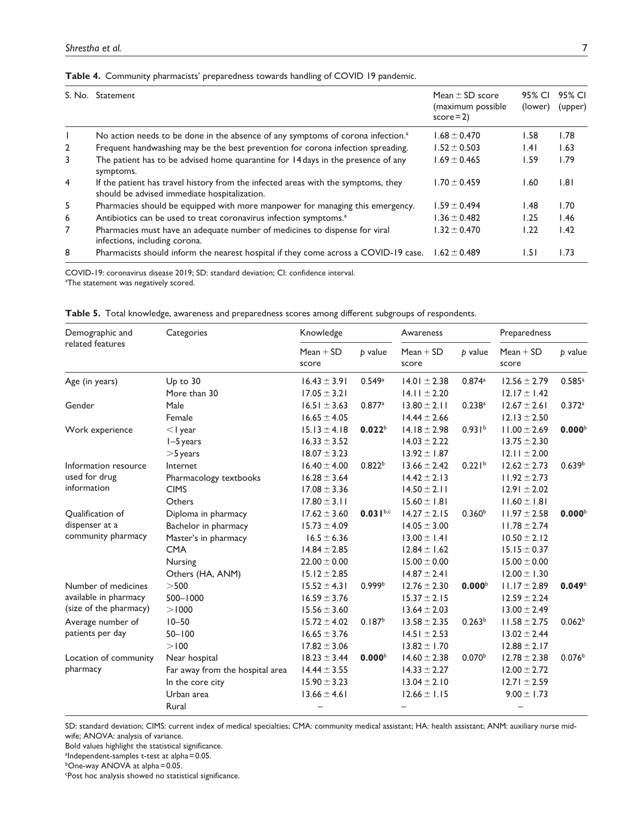# **Table 4.** Community pharmacists' preparedness towards handling of COVID 19 pandemic.

|                | S. No. Statement                                                                                                                  | Mean $\pm$ SD score<br>(maximum possible<br>$score = 2$ | 95% CI<br>(lower) | 95% CI<br>(upper) |
|----------------|-----------------------------------------------------------------------------------------------------------------------------------|---------------------------------------------------------|-------------------|-------------------|
|                | No action needs to be done in the absence of any symptoms of corona infection. <sup>a</sup>                                       | $1.68 \pm 0.470$                                        | 1.58              | 1.78              |
| 2              | Frequent handwashing may be the best prevention for corona infection spreading.                                                   | $1.52 \pm 0.503$                                        | .4                | 1.63              |
| 3              | The patient has to be advised home quarantine for 14 days in the presence of any<br>symptoms.                                     | $1.69 \pm 0.465$                                        | 1.59              | 1.79              |
| $\overline{4}$ | If the patient has travel history from the infected areas with the symptoms, they<br>should be advised immediate hospitalization. | $1.70 \pm 0.459$                                        | 1.60              | 1.81              |
| 5              | Pharmacies should be equipped with more manpower for managing this emergency.                                                     | $1.59 + 0.494$                                          | 1.48              | 1.70              |
| 6              | Antibiotics can be used to treat coronavirus infection symptoms. <sup>a</sup>                                                     | $1.36 \pm 0.482$                                        | I.25              | 1.46              |
| 7              | Pharmacies must have an adequate number of medicines to dispense for viral<br>infections, including corona.                       | $1.32 \pm 0.470$                                        | I.22              | 1.42              |
| 8              | Pharmacists should inform the nearest hospital if they come across a COVID-19 case.                                               | $1.62 \pm 0.489$                                        | 1.51              | 1.73              |

COVID-19: coronavirus disease 2019; SD: standard deviation; CI: confidence interval. aThe statement was negatively scored.

|  | Table 5. Total knowledge, awareness and preparedness scores among different subgroups of respondents. |  |  |  |  |  |  |
|--|-------------------------------------------------------------------------------------------------------|--|--|--|--|--|--|
|--|-------------------------------------------------------------------------------------------------------|--|--|--|--|--|--|

| Demographic and        | Categories                      | Knowledge                |                    | Awareness                |                      | Preparedness         |                    |
|------------------------|---------------------------------|--------------------------|--------------------|--------------------------|----------------------|----------------------|--------------------|
| related features       |                                 | $Mean + SD$<br>score     | b value            | $Mean + SD$<br>score     | b value              | $Mean + SD$<br>score | p value            |
| Age (in years)         | $Up$ to $30$                    | $16.43 \pm 3.91$         | 0.549a             | $14.01 \pm 2.38$         | 0.874a               | $12.56 \pm 2.79$     | 0.585a             |
|                        | More than 30                    | $17.05 \pm 3.21$         |                    | $14.11 \pm 2.20$         |                      | $12.17 \pm 1.42$     |                    |
| Gender                 | Male                            | $16.51 \pm 3.63$         | 0.877a             | $13.80 \pm 2.11$         | $0.238$ <sup>a</sup> | $12.67 \pm 2.61$     | 0.372a             |
|                        | Female                          | $16.65 \pm 4.05$         |                    | $14.44 \pm 2.66$         |                      | $12.13 \pm 2.50$     |                    |
| Work experience        | $<$ I year                      | $15.13 \pm 4.18$         | 0.022 <sup>b</sup> | $14.18 \pm 2.98$         | 0.931 <sup>b</sup>   | $11.00 \pm 2.69$     | 0.000 <sup>b</sup> |
|                        | I-5 years                       | $16.33 \pm 3.52$         |                    | $14.03 \pm 2.22$         |                      | $13.75 \pm 2.30$     |                    |
|                        | $>5$ years                      | $18.07 \pm 3.23$         |                    | $13.92 \pm 1.87$         |                      | $12.11 \pm 2.00$     |                    |
| Information resource   | Internet                        | $16.40 \pm 4.00$         | 0.822 <sup>b</sup> | $13.66 \pm 2.42$         | 0.221 <sup>b</sup>   | $12.62 \pm 2.73$     | 0.639 <sup>b</sup> |
| used for drug          | Pharmacology textbooks          | $16.28 \pm 3.64$         |                    | $14.42 \pm 2.13$         |                      | $11.92 \pm 2.73$     |                    |
| information            | <b>CIMS</b>                     | $17.08 \pm 3.36$         |                    | $14.50 \pm 2.11$         |                      | $12.91 \pm 2.02$     |                    |
|                        | Others                          | $17.80 \pm 3.11$         |                    | $15.60 \pm 1.81$         |                      | $11.60 \pm 1.81$     |                    |
| Qualification of       | Diploma in pharmacy             | $17.62 \pm 3.60$         | $0.031^{b,c}$      | $14.27 \pm 2.15$         | 0.360 <sup>b</sup>   | $11.97 \pm 2.58$     | 0.000 <sup>b</sup> |
| dispenser at a         | Bachelor in pharmacy            | $15.73 \pm 4.09$         |                    | $14.05 \pm 3.00$         |                      | $11.78 \pm 2.74$     |                    |
| community pharmacy     | Master's in pharmacy            | $16.5 \pm 6.36$          |                    | $13.00 \pm 1.41$         |                      | $10.50 \pm 2.12$     |                    |
|                        | <b>CMA</b>                      | $14.84 \pm 2.85$         |                    | $12.84 \pm 1.62$         |                      | $15.15 \pm 0.37$     |                    |
|                        | Nursing                         | $22.00 \pm 0.00$         |                    | $15.00 \pm 0.00$         |                      | $15.00 \pm 0.00$     |                    |
|                        | Others (HA, ANM)                | $15.12 \pm 2.85$         |                    | $14.87 \pm 2.41$         |                      | $12.00 \pm 1.30$     |                    |
| Number of medicines    | >500                            | $15.52 \pm 4.31$         | 0.999 <sup>b</sup> | $12.76 \pm 2.30$         | 0.000 <sup>b</sup>   | $11.17 \pm 2.89$     | 0.049 <sup>b</sup> |
| available in pharmacy  | 500-1000                        | $16.59 \pm 3.76$         |                    | $15.37 \pm 2.15$         |                      | $12.59 \pm 2.24$     |                    |
| (size of the pharmacy) | > 1000                          | $15.56 \pm 3.60$         |                    | $13.64 \pm 2.03$         |                      | $13.00 \pm 2.49$     |                    |
| Average number of      | $10 - 50$                       | $15.72 \pm 4.02$         | 0.187 <sup>b</sup> | $13.58 \pm 2.35$         | 0.263 <sup>b</sup>   | $11.58 \pm 2.75$     | 0.062 <sup>b</sup> |
| patients per day       | $50 - 100$                      | $16.65 \pm 3.76$         |                    | $14.51 \pm 2.53$         |                      | $13.02 \pm 2.44$     |                    |
|                        | > 100                           | $17.82 \pm 3.06$         |                    | $13.82 \pm 1.70$         |                      | $12.88 \pm 2.17$     |                    |
| Location of community  | Near hospital                   | $18.23 \pm 3.44$         | 0.000 <sup>b</sup> | $14.60 \pm 2.38$         | 0.070 <sup>b</sup>   | $12.78 \pm 2.38$     | 0.076 <sup>b</sup> |
| pharmacy               | Far away from the hospital area | $14.44 \pm 3.55$         |                    | $14.33 \pm 2.27$         |                      | $12.00 \pm 2.72$     |                    |
|                        | In the core city                | $15.90 \pm 3.23$         |                    | $13.04 \pm 2.10$         |                      | $12.71 \pm 2.59$     |                    |
|                        | Urban area                      | $13.66 \pm 4.61$         |                    | $12.66 \pm 1.15$         |                      | $9.00 \pm 1.73$      |                    |
|                        | Rural                           | $\overline{\phantom{0}}$ |                    | $\overline{\phantom{0}}$ |                      | -                    |                    |

SD: standard deviation; CIMS: current index of medical specialties; CMA: community medical assistant; HA: health assistant; ANM: auxiliary nurse midwife; ANOVA: analysis of variance.

Bold values highlight the statistical significance.

alndependent-samples t-test at alpha = 0.05.

<sup>b</sup>One-way ANOVA at alpha = 0.05.

cPost hoc analysis showed no statistical significance.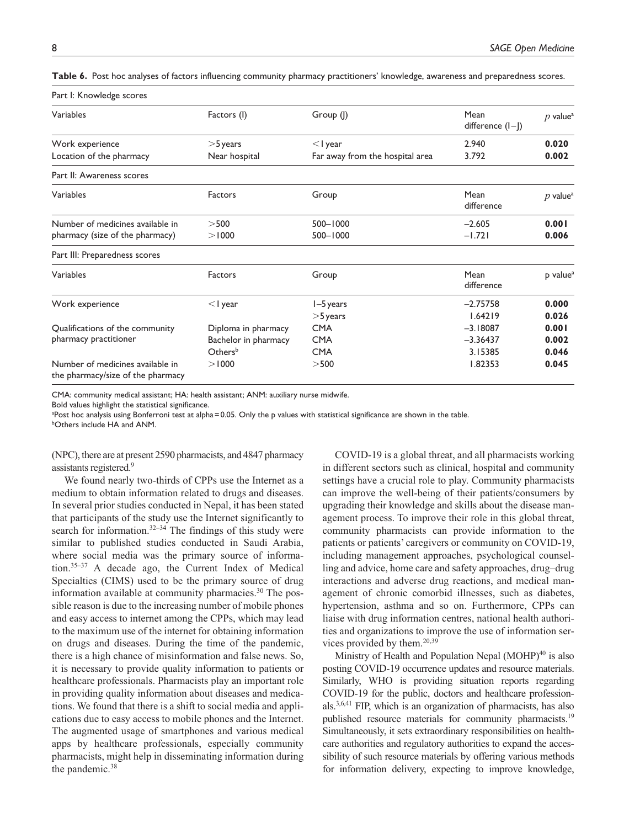Part I: Knowledge scores

| Variables                                                             | Factors (I)          | Group (I)                       | Mean<br>difference (I-J) | $p$ value <sup>a</sup> |
|-----------------------------------------------------------------------|----------------------|---------------------------------|--------------------------|------------------------|
| Work experience                                                       | $>$ 5 years          | $<$   year                      | 2.940                    | 0.020                  |
| Location of the pharmacy                                              | Near hospital        | Far away from the hospital area | 3.792                    | 0.002                  |
| Part II: Awareness scores                                             |                      |                                 |                          |                        |
| Variables                                                             | Factors              | Group                           | Mean<br>difference       | $p$ value <sup>a</sup> |
| Number of medicines available in                                      | >500                 | 500-1000                        | $-2.605$                 | 0.001                  |
| pharmacy (size of the pharmacy)                                       | > 1000               | 500-1000                        | $-1.721$                 | 0.006                  |
| Part III: Preparedness scores                                         |                      |                                 |                          |                        |
| Variables                                                             | Factors              | Group                           | Mean<br>difference       | p value <sup>a</sup>   |
| Work experience                                                       | $<$ I year           | $I-5$ years                     | $-2.75758$               | 0.000                  |
|                                                                       |                      | $>$ 5 years                     | 1.64219                  | 0.026                  |
| Qualifications of the community                                       | Diploma in pharmacy  | <b>CMA</b>                      | $-3.18087$               | 0.001                  |
| pharmacy practitioner                                                 | Bachelor in pharmacy | <b>CMA</b>                      | $-3.36437$               | 0.002                  |
|                                                                       | Othersb              | <b>CMA</b>                      | 3.15385                  | 0.046                  |
| Number of medicines available in<br>the pharmacy/size of the pharmacy | > 1000               | >500                            | 1.82353                  | 0.045                  |

**Table 6.** Post hoc analyses of factors influencing community pharmacy practitioners' knowledge, awareness and preparedness scores.

CMA: community medical assistant; HA: health assistant; ANM: auxiliary nurse midwife.

Bold values highlight the statistical significance.

<sup>a</sup>Post hoc analysis using Bonferroni test at alpha = 0.05. Only the p values with statistical significance are shown in the table.

**bOthers include HA and ANM.** 

(NPC), there are at present 2590 pharmacists, and 4847 pharmacy assistants registered.<sup>9</sup>

We found nearly two-thirds of CPPs use the Internet as a medium to obtain information related to drugs and diseases. In several prior studies conducted in Nepal, it has been stated that participants of the study use the Internet significantly to search for information.<sup>32–34</sup> The findings of this study were similar to published studies conducted in Saudi Arabia, where social media was the primary source of information.35–37 A decade ago, the Current Index of Medical Specialties (CIMS) used to be the primary source of drug information available at community pharmacies. $30$  The possible reason is due to the increasing number of mobile phones and easy access to internet among the CPPs, which may lead to the maximum use of the internet for obtaining information on drugs and diseases. During the time of the pandemic, there is a high chance of misinformation and false news. So, it is necessary to provide quality information to patients or healthcare professionals. Pharmacists play an important role in providing quality information about diseases and medications. We found that there is a shift to social media and applications due to easy access to mobile phones and the Internet. The augmented usage of smartphones and various medical apps by healthcare professionals, especially community pharmacists, might help in disseminating information during the pandemic.<sup>38</sup>

COVID-19 is a global threat, and all pharmacists working in different sectors such as clinical, hospital and community settings have a crucial role to play. Community pharmacists can improve the well-being of their patients/consumers by upgrading their knowledge and skills about the disease management process. To improve their role in this global threat, community pharmacists can provide information to the patients or patients' caregivers or community on COVID-19, including management approaches, psychological counselling and advice, home care and safety approaches, drug–drug interactions and adverse drug reactions, and medical management of chronic comorbid illnesses, such as diabetes, hypertension, asthma and so on. Furthermore, CPPs can liaise with drug information centres, national health authorities and organizations to improve the use of information services provided by them.<sup>20,39</sup>

Ministry of Health and Population Nepal (MOHP)<sup>40</sup> is also posting COVID-19 occurrence updates and resource materials. Similarly, WHO is providing situation reports regarding COVID-19 for the public, doctors and healthcare professionals.3,6,41 FIP, which is an organization of pharmacists, has also published resource materials for community pharmacists.<sup>19</sup> Simultaneously, it sets extraordinary responsibilities on healthcare authorities and regulatory authorities to expand the accessibility of such resource materials by offering various methods for information delivery, expecting to improve knowledge,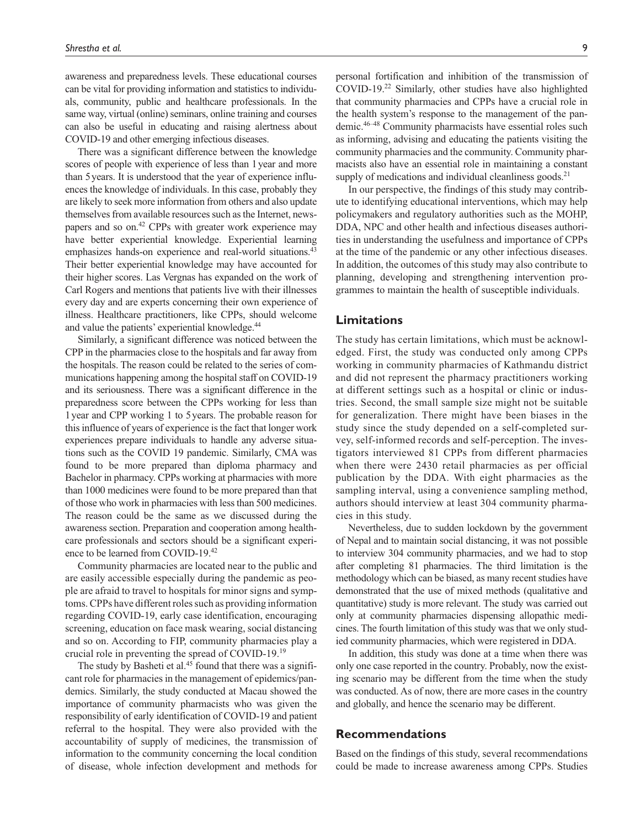awareness and preparedness levels. These educational courses can be vital for providing information and statistics to individuals, community, public and healthcare professionals. In the same way, virtual (online) seminars, online training and courses can also be useful in educating and raising alertness about COVID-19 and other emerging infectious diseases.

There was a significant difference between the knowledge scores of people with experience of less than 1 year and more than 5 years. It is understood that the year of experience influences the knowledge of individuals. In this case, probably they are likely to seek more information from others and also update themselves from available resources such as the Internet, newspapers and so on.<sup>42</sup> CPPs with greater work experience may have better experiential knowledge. Experiential learning emphasizes hands-on experience and real-world situations.<sup>43</sup> Their better experiential knowledge may have accounted for their higher scores. Las Vergnas has expanded on the work of Carl Rogers and mentions that patients live with their illnesses every day and are experts concerning their own experience of illness. Healthcare practitioners, like CPPs, should welcome and value the patients' experiential knowledge.<sup>44</sup>

Similarly, a significant difference was noticed between the CPP in the pharmacies close to the hospitals and far away from the hospitals. The reason could be related to the series of communications happening among the hospital staff on COVID-19 and its seriousness. There was a significant difference in the preparedness score between the CPPs working for less than 1 year and CPP working 1 to 5 years. The probable reason for this influence of years of experience is the fact that longer work experiences prepare individuals to handle any adverse situations such as the COVID 19 pandemic. Similarly, CMA was found to be more prepared than diploma pharmacy and Bachelor in pharmacy. CPPs working at pharmacies with more than 1000 medicines were found to be more prepared than that of those who work in pharmacies with less than 500 medicines. The reason could be the same as we discussed during the awareness section. Preparation and cooperation among healthcare professionals and sectors should be a significant experience to be learned from COVID-19.<sup>42</sup>

Community pharmacies are located near to the public and are easily accessible especially during the pandemic as people are afraid to travel to hospitals for minor signs and symptoms. CPPs have different roles such as providing information regarding COVID-19, early case identification, encouraging screening, education on face mask wearing, social distancing and so on. According to FIP, community pharmacies play a crucial role in preventing the spread of COVID-19.<sup>19</sup>

The study by Basheti et al.<sup>45</sup> found that there was a significant role for pharmacies in the management of epidemics/pandemics. Similarly, the study conducted at Macau showed the importance of community pharmacists who was given the responsibility of early identification of COVID-19 and patient referral to the hospital. They were also provided with the accountability of supply of medicines, the transmission of information to the community concerning the local condition of disease, whole infection development and methods for

personal fortification and inhibition of the transmission of COVID-19.<sup>22</sup> Similarly, other studies have also highlighted that community pharmacies and CPPs have a crucial role in the health system's response to the management of the pandemic.46–48 Community pharmacists have essential roles such as informing, advising and educating the patients visiting the community pharmacies and the community. Community pharmacists also have an essential role in maintaining a constant supply of medications and individual cleanliness goods. $21$ 

In our perspective, the findings of this study may contribute to identifying educational interventions, which may help policymakers and regulatory authorities such as the MOHP, DDA, NPC and other health and infectious diseases authorities in understanding the usefulness and importance of CPPs at the time of the pandemic or any other infectious diseases. In addition, the outcomes of this study may also contribute to planning, developing and strengthening intervention programmes to maintain the health of susceptible individuals.

### **Limitations**

The study has certain limitations, which must be acknowledged. First, the study was conducted only among CPPs working in community pharmacies of Kathmandu district and did not represent the pharmacy practitioners working at different settings such as a hospital or clinic or industries. Second, the small sample size might not be suitable for generalization. There might have been biases in the study since the study depended on a self-completed survey, self-informed records and self-perception. The investigators interviewed 81 CPPs from different pharmacies when there were 2430 retail pharmacies as per official publication by the DDA. With eight pharmacies as the sampling interval, using a convenience sampling method, authors should interview at least 304 community pharmacies in this study.

Nevertheless, due to sudden lockdown by the government of Nepal and to maintain social distancing, it was not possible to interview 304 community pharmacies, and we had to stop after completing 81 pharmacies. The third limitation is the methodology which can be biased, as many recent studies have demonstrated that the use of mixed methods (qualitative and quantitative) study is more relevant. The study was carried out only at community pharmacies dispensing allopathic medicines. The fourth limitation of this study was that we only studied community pharmacies, which were registered in DDA.

In addition, this study was done at a time when there was only one case reported in the country. Probably, now the existing scenario may be different from the time when the study was conducted. As of now, there are more cases in the country and globally, and hence the scenario may be different.

### **Recommendations**

Based on the findings of this study, several recommendations could be made to increase awareness among CPPs. Studies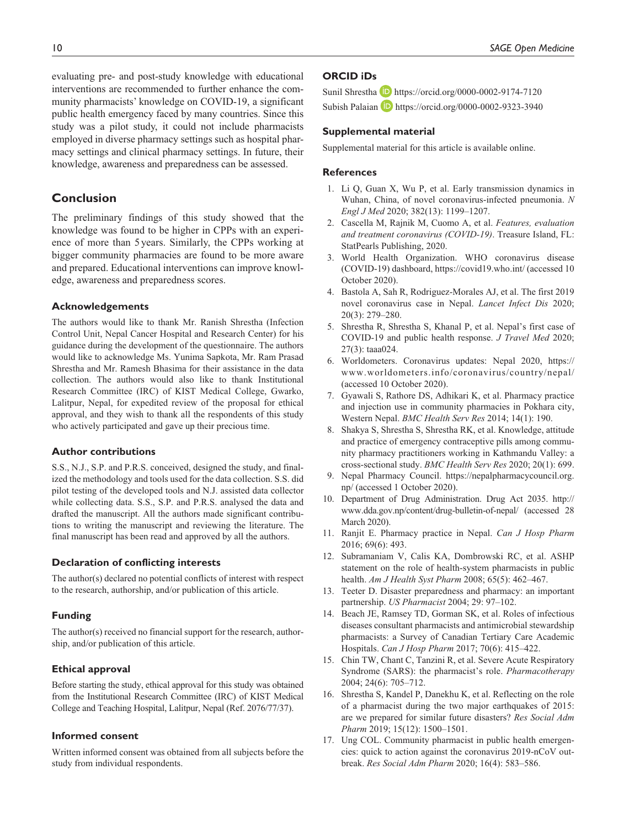evaluating pre- and post-study knowledge with educational interventions are recommended to further enhance the community pharmacists' knowledge on COVID-19, a significant public health emergency faced by many countries. Since this study was a pilot study, it could not include pharmacists employed in diverse pharmacy settings such as hospital pharmacy settings and clinical pharmacy settings. In future, their knowledge, awareness and preparedness can be assessed.

# **Conclusion**

The preliminary findings of this study showed that the knowledge was found to be higher in CPPs with an experience of more than 5 years. Similarly, the CPPs working at bigger community pharmacies are found to be more aware and prepared. Educational interventions can improve knowledge, awareness and preparedness scores.

### **Acknowledgements**

The authors would like to thank Mr. Ranish Shrestha (Infection Control Unit, Nepal Cancer Hospital and Research Center) for his guidance during the development of the questionnaire. The authors would like to acknowledge Ms. Yunima Sapkota, Mr. Ram Prasad Shrestha and Mr. Ramesh Bhasima for their assistance in the data collection. The authors would also like to thank Institutional Research Committee (IRC) of KIST Medical College, Gwarko, Lalitpur, Nepal, for expedited review of the proposal for ethical approval, and they wish to thank all the respondents of this study who actively participated and gave up their precious time.

### **Author contributions**

S.S., N.J., S.P. and P.R.S. conceived, designed the study, and finalized the methodology and tools used for the data collection. S.S. did pilot testing of the developed tools and N.J. assisted data collector while collecting data. S.S., S.P. and P.R.S. analysed the data and drafted the manuscript. All the authors made significant contributions to writing the manuscript and reviewing the literature. The final manuscript has been read and approved by all the authors.

### **Declaration of conflicting interests**

The author(s) declared no potential conflicts of interest with respect to the research, authorship, and/or publication of this article.

#### **Funding**

The author(s) received no financial support for the research, authorship, and/or publication of this article.

### **Ethical approval**

Before starting the study, ethical approval for this study was obtained from the Institutional Research Committee (IRC) of KIST Medical College and Teaching Hospital, Lalitpur, Nepal (Ref. 2076/77/37).

### **Informed consent**

Written informed consent was obtained from all subjects before the study from individual respondents.

### **ORCID iDs**

Sunil Shrestha D https://orcid.org/0000-0002-9174-7120 Subish Palaian D https://orcid.org/0000-0002-9323-3940

#### **Supplemental material**

Supplemental material for this article is available online.

### **References**

- 1. Li Q, Guan X, Wu P, et al. Early transmission dynamics in Wuhan, China, of novel coronavirus-infected pneumonia. *N Engl J Med* 2020; 382(13): 1199–1207.
- 2. Cascella M, Rajnik M, Cuomo A, et al. *Features, evaluation and treatment coronavirus (COVID-19)*. Treasure Island, FL: StatPearls Publishing, 2020.
- 3. World Health Organization. WHO coronavirus disease (COVID-19) dashboard, https://covid19.who.int/ (accessed 10 October 2020).
- 4. Bastola A, Sah R, Rodriguez-Morales AJ, et al. The first 2019 novel coronavirus case in Nepal. *Lancet Infect Dis* 2020; 20(3): 279–280.
- 5. Shrestha R, Shrestha S, Khanal P, et al. Nepal's first case of COVID-19 and public health response. *J Travel Med* 2020; 27(3): taaa024.
- 6. Worldometers. Coronavirus updates: Nepal 2020, https:// www.worldometers.info/coronavirus/country/nepal/ (accessed 10 October 2020).
- 7. Gyawali S, Rathore DS, Adhikari K, et al. Pharmacy practice and injection use in community pharmacies in Pokhara city, Western Nepal. *BMC Health Serv Res* 2014; 14(1): 190.
- 8. Shakya S, Shrestha S, Shrestha RK, et al. Knowledge, attitude and practice of emergency contraceptive pills among community pharmacy practitioners working in Kathmandu Valley: a cross-sectional study. *BMC Health Serv Res* 2020; 20(1): 699.
- 9. Nepal Pharmacy Council. https://nepalpharmacycouncil.org. np/ (accessed 1 October 2020).
- 10. Department of Drug Administration. Drug Act 2035. http:// www.dda.gov.np/content/drug-bulletin-of-nepal/ (accessed 28 March 2020).
- 11. Ranjit E. Pharmacy practice in Nepal. *Can J Hosp Pharm* 2016; 69(6): 493.
- 12. Subramaniam V, Calis KA, Dombrowski RC, et al. ASHP statement on the role of health-system pharmacists in public health. *Am J Health Syst Pharm* 2008; 65(5): 462–467.
- 13. Teeter D. Disaster preparedness and pharmacy: an important partnership. *US Pharmacist* 2004; 29: 97–102.
- 14. Beach JE, Ramsey TD, Gorman SK, et al. Roles of infectious diseases consultant pharmacists and antimicrobial stewardship pharmacists: a Survey of Canadian Tertiary Care Academic Hospitals. *Can J Hosp Pharm* 2017; 70(6): 415–422.
- 15. Chin TW, Chant C, Tanzini R, et al. Severe Acute Respiratory Syndrome (SARS): the pharmacist's role. *Pharmacotherapy* 2004; 24(6): 705–712.
- 16. Shrestha S, Kandel P, Danekhu K, et al. Reflecting on the role of a pharmacist during the two major earthquakes of 2015: are we prepared for similar future disasters? *Res Social Adm Pharm* 2019; 15(12): 1500–1501.
- 17. Ung COL. Community pharmacist in public health emergencies: quick to action against the coronavirus 2019-nCoV outbreak. *Res Social Adm Pharm* 2020; 16(4): 583–586.